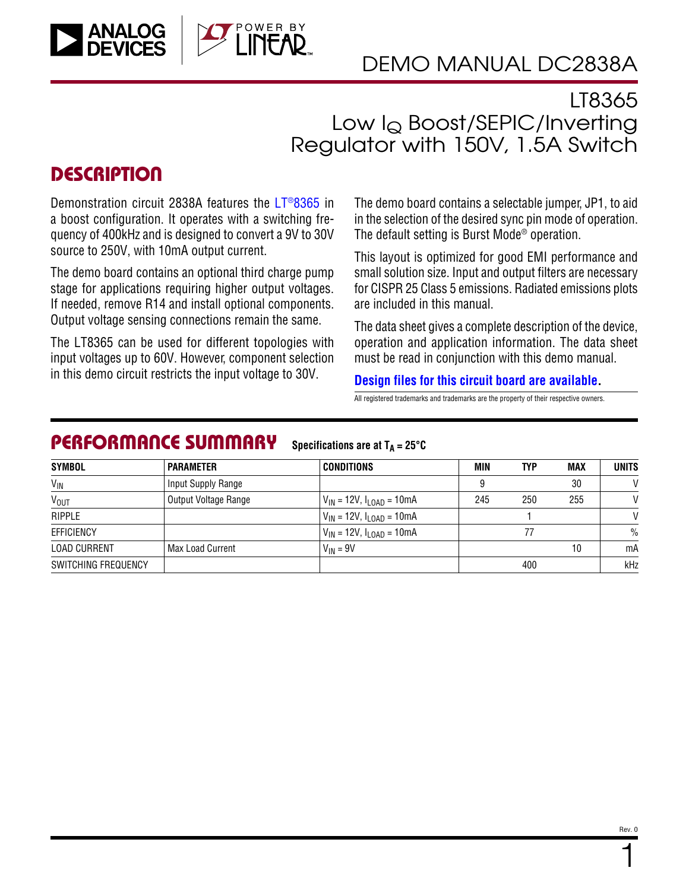

## LT8365 Low IQ Boost/SEPIC/Inverting Regulator with 150V, 1.5A Switch

## **DESCRIPTION**

Demonstration circuit 2838A features the [LT®8365](https://www.analog.com/LT8365?doc=DC2838A.pdf) in a boost configuration. It operates with a switching frequency of 400kHz and is designed to convert a 9V to 30V source to 250V, with 10mA output current.

The demo board contains an optional third charge pump stage for applications requiring higher output voltages. If needed, remove R14 and install optional components. Output voltage sensing connections remain the same.

The LT8365 can be used for different topologies with input voltages up to 60V. However, component selection in this demo circuit restricts the input voltage to 30V.

The demo board contains a selectable jumper, JP1, to aid in the selection of the desired sync pin mode of operation. The default setting is Burst Mode® operation.

This layout is optimized for good EMI performance and small solution size. Input and output filters are necessary for CISPR 25 Class 5 emissions. Radiated emissions plots are included in this manual.

The data sheet gives a complete description of the device, operation and application information. The data sheet must be read in conjunction with this demo manual.

### **[Design files for this circuit board are available](https://www.analog.com/en/design-center/evaluation-hardware-and-software/evaluation-boards-kits/DC2838A.html#eb-documentation?doc=DC2838A.pdf).**

All registered trademarks and trademarks are the property of their respective owners.

#### PERFORMANCE SUMMARY **Specifications are at**  $T_A = 25^\circ C$

| <b>SYMBOL</b>       | <b>PARAMETER</b>        | <b>CONDITIONS</b>                  | MIN | <b>TYP</b> | <b>MAX</b> | <b>UNITS</b> |
|---------------------|-------------------------|------------------------------------|-----|------------|------------|--------------|
| $V_{IN}$            | Input Supply Range      |                                    |     |            | 30         | $\mathsf{V}$ |
| V <sub>OUT</sub>    | Output Voltage Range    | $V_{IN}$ = 12V, $I_{LOAD}$ = 10mA  | 245 | 250        | 255        | V            |
| <b>RIPPLE</b>       |                         | $V_{IN}$ = 12V, $I_{LOAD}$ = 10mA  |     |            |            | V            |
| EFFICIENCY          |                         | $V_{IN}$ = 12V, $I_{I OAD}$ = 10mA |     |            |            |              |
| <b>LOAD CURRENT</b> | <b>Max Load Current</b> | $V_{IN}$ = 9V                      |     |            | 10         | mA           |
| SWITCHING FREQUENCY |                         |                                    |     | 400        |            | kHz          |

1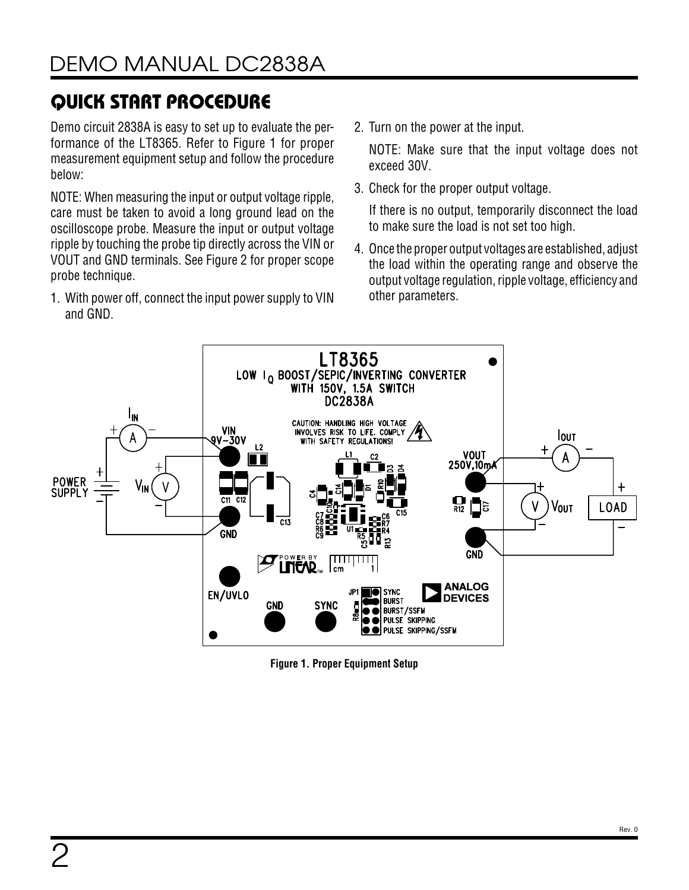# QUICK START PROCEDURE

Demo circuit 2838A is easy to set up to evaluate the performance of the LT8365. Refer to [Figure 1](#page-1-0) for proper measurement equipment setup and follow the procedure below:

NOTE: When measuring the input or output voltage ripple, care must be taken to avoid a long ground lead on the oscilloscope probe. Measure the input or output voltage ripple by touching the probe tip directly across the VIN or VOUT and GND terminals. See [Figure 2](#page-2-0) for proper scope probe technique.

1. With power off, connect the input power supply to VIN and GND.

2. Turn on the power at the input.

NOTE: Make sure that the input voltage does not exceed 30V.

3. Check for the proper output voltage.

If there is no output, temporarily disconnect the load to make sure the load is not set too high.

4. Once the proper output voltages are established, adjust the load within the operating range and observe the output voltage regulation, ripple voltage, efficiency and other parameters.



<span id="page-1-0"></span>**Figure 1. Proper Equipment Setup**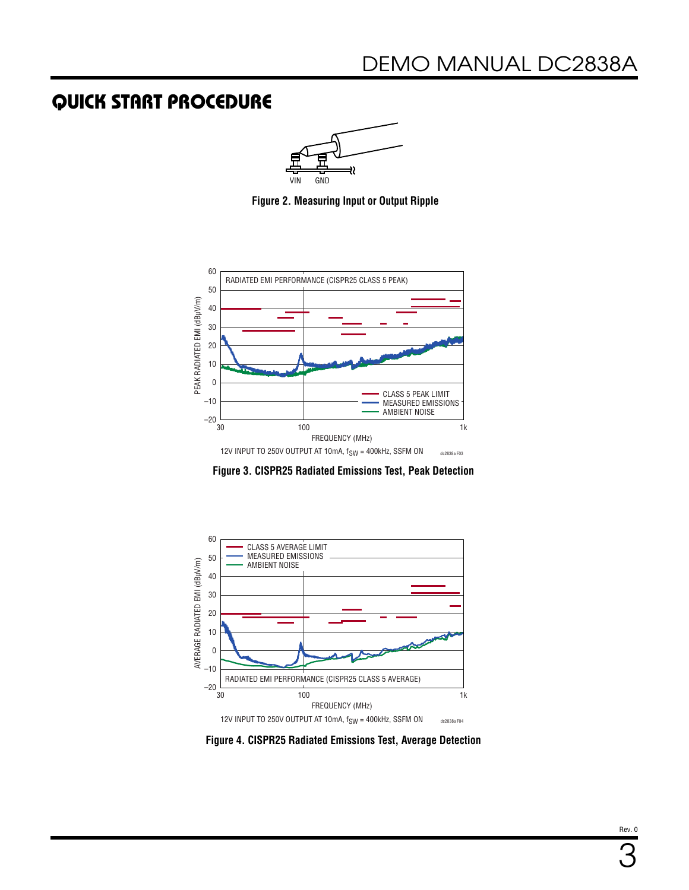### QUICK START PROCEDURE

<span id="page-2-0"></span>

**Figure 2. Measuring Input or Output Ripple**



**Figure 3. CISPR25 Radiated Emissions Test, Peak Detection**



**Figure 4. CISPR25 Radiated Emissions Test, Average Detection**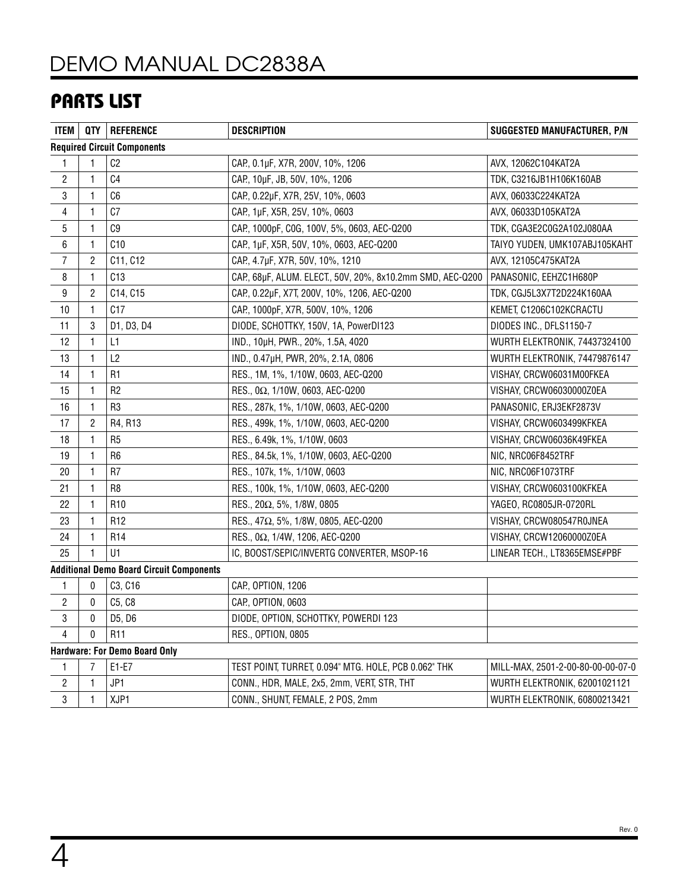# [DEMO MANUAL DC2838A](https://www.analog.com/DC2838A?doc=DC2838A.pdf)

## PARTS LIST

| <b>ITEM</b>    |                | QTY   REFERENCE                                 | <b>DESCRIPTION</b>                                         | <b>SUGGESTED MANUFACTURER, P/N</b> |
|----------------|----------------|-------------------------------------------------|------------------------------------------------------------|------------------------------------|
|                |                | <b>Required Circuit Components</b>              |                                                            |                                    |
| 1              |                | C <sub>2</sub>                                  | CAP., 0.1µF, X7R, 200V, 10%, 1206                          | AVX, 12062C104KAT2A                |
| $\overline{c}$ | 1              | C <sub>4</sub>                                  | CAP., 10µF, JB, 50V, 10%, 1206                             | TDK, C3216JB1H106K160AB            |
| 3              | 1              | C6                                              | CAP, 0.22µF, X7R, 25V, 10%, 0603                           | AVX, 06033C224KAT2A                |
| 4              | 1              | C <sub>0</sub>                                  | CAP, 1µF, X5R, 25V, 10%, 0603                              | AVX, 06033D105KAT2A                |
| 5              | $\mathbf{1}$   | C9                                              | CAP., 1000pF, C0G, 100V, 5%, 0603, AEC-Q200                | TDK, CGA3E2C0G2A102J080AA          |
| 6              | 1              | C10                                             | CAP., 1µF, X5R, 50V, 10%, 0603, AEC-Q200                   | TAIYO YUDEN, UMK107ABJ105KAHT      |
| $\overline{7}$ | $\overline{2}$ | C11, C12                                        | CAP, 4.7µF, X7R, 50V, 10%, 1210                            | AVX, 12105C475KAT2A                |
| 8              | $\mathbf{1}$   | C13                                             | CAP., 68µF, ALUM. ELECT., 50V, 20%, 8x10.2mm SMD, AEC-Q200 | PANASONIC, EEHZC1H680P             |
| 9              | 2              | C14, C15                                        | CAP., 0.22µF, X7T, 200V, 10%, 1206, AEC-Q200               | TDK, CGJ5L3X7T2D224K160AA          |
| 10             | $\mathbf{1}$   | C17                                             | CAP, 1000pF, X7R, 500V, 10%, 1206                          | KEMET, C1206C102KCRACTU            |
| 11             | 3              | D1, D3, D4                                      | DIODE, SCHOTTKY, 150V, 1A, PowerDI123                      | DIODES INC., DFLS1150-7            |
| 12             | 1              | L1                                              | IND., 10µH, PWR., 20%, 1.5A, 4020                          | WURTH ELEKTRONIK, 74437324100      |
| 13             | $\mathbf{1}$   | L2                                              | IND., 0.47µH, PWR, 20%, 2.1A, 0806                         | WURTH ELEKTRONIK, 74479876147      |
| 14             | $\mathbf{1}$   | R <sub>1</sub>                                  | RES., 1M, 1%, 1/10W, 0603, AEC-Q200                        | VISHAY, CRCW06031M00FKEA           |
| 15             | $\mathbf{1}$   | R <sub>2</sub>                                  | RES., 0Ω, 1/10W, 0603, AEC-Q200                            | VISHAY, CRCW06030000Z0EA           |
| 16             | 1              | R <sub>3</sub>                                  | RES., 287k, 1%, 1/10W, 0603, AEC-Q200                      | PANASONIC, ERJ3EKF2873V            |
| 17             | 2              | R4, R13                                         | RES., 499k, 1%, 1/10W, 0603, AEC-Q200                      | VISHAY, CRCW0603499KFKEA           |
| 18             | 1              | R <sub>5</sub>                                  | RES., 6.49k, 1%, 1/10W, 0603                               | VISHAY, CRCW06036K49FKEA           |
| 19             | 1              | R <sub>6</sub>                                  | RES., 84.5k, 1%, 1/10W, 0603, AEC-Q200                     | NIC, NRC06F8452TRF                 |
| 20             | $\mathbf{1}$   | R <sub>7</sub>                                  | RES., 107k, 1%, 1/10W, 0603                                | NIC, NRC06F1073TRF                 |
| 21             | 1              | R <sub>8</sub>                                  | RES., 100k, 1%, 1/10W, 0603, AEC-Q200                      | VISHAY, CRCW0603100KFKEA           |
| 22             | 1              | R <sub>10</sub>                                 | RES., 20Ω, 5%, 1/8W, 0805                                  | YAGEO, RC0805JR-0720RL             |
| 23             | 1              | R <sub>12</sub>                                 | RES., 47Ω, 5%, 1/8W, 0805, AEC-Q200                        | VISHAY, CRCW080547R0JNEA           |
| 24             | 1              | R <sub>14</sub>                                 | RES., 0Ω, 1/4W, 1206, AEC-Q200                             | VISHAY, CRCW12060000Z0EA           |
| 25             |                | U1                                              | IC, BOOST/SEPIC/INVERTG CONVERTER, MSOP-16                 | LINEAR TECH., LT8365EMSE#PBF       |
|                |                | <b>Additional Demo Board Circuit Components</b> |                                                            |                                    |
| 1              | 0              | C3, C16                                         | CAP., OPTION, 1206                                         |                                    |
| 2              | $\mathbf{0}$   | C5, C8                                          | CAP., OPTION, 0603                                         |                                    |
| 3              | 0              | D5, D6                                          | DIODE, OPTION, SCHOTTKY, POWERDI 123                       |                                    |
| 4              | 0              | R11                                             | RES., OPTION, 0805                                         |                                    |
|                |                | <b>Hardware: For Demo Board Only</b>            |                                                            |                                    |
| 1              | $\overline{7}$ | $E1-E7$                                         | TEST POINT, TURRET, 0.094" MTG. HOLE, PCB 0.062" THK       | MILL-MAX, 2501-2-00-80-00-00-07-0  |
| $\overline{c}$ | $\mathbf{1}$   | JP1                                             | CONN., HDR, MALE, 2x5, 2mm, VERT, STR, THT                 | WURTH ELEKTRONIK, 62001021121      |
| 3              | 1              | XJP1                                            | CONN., SHUNT, FEMALE, 2 POS, 2mm                           | WURTH ELEKTRONIK, 60800213421      |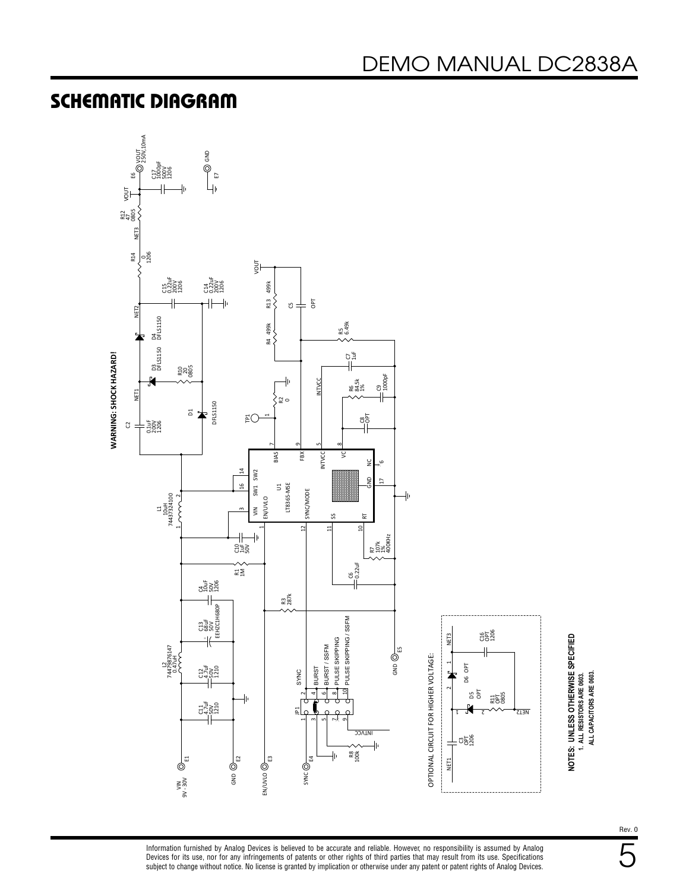## SCHEMATIC DIAGRAM



NOTES: UNLESS OTHERWISE SPECIFIED<br>1. ALL RESISTORS ARE 0603. **NOTES: UNLESS OTHERWISE SPECIFIED** ALL CAPACITORS ARE 0603. **ALL CAPACITORS ARE 0603. 1. ALL RESISTORS ARE 0603.**

Information furnished by Analog Devices is believed to be accurate and reliable. However, no responsibility is assumed by Analog Devices for its use, nor for any infringements of patents or other rights of third parties that may result from its use. Specifications<br>subject to change without notice. No license is granted by implication or otherwise un